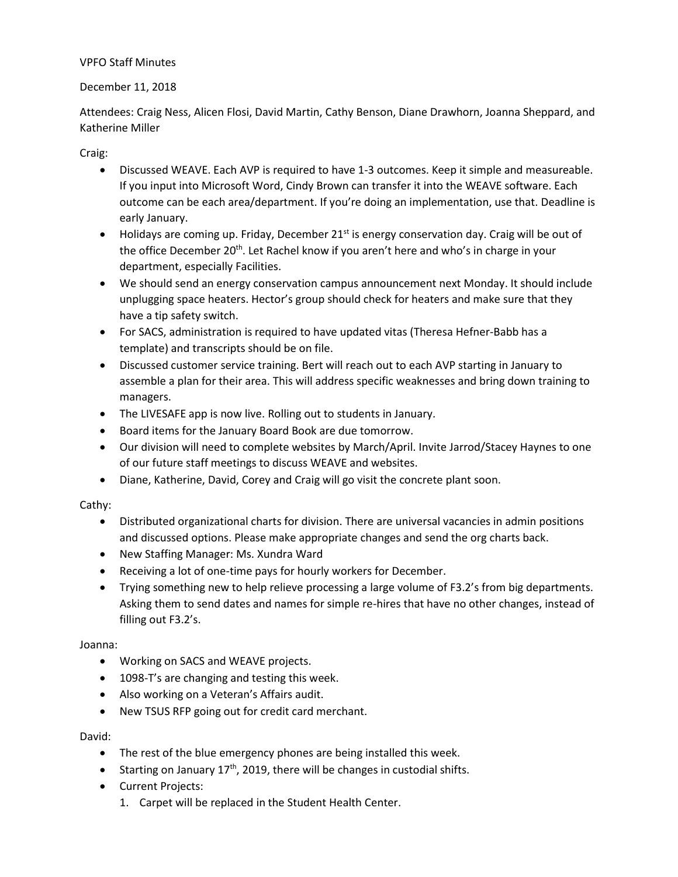## VPFO Staff Minutes

## December 11, 2018

Attendees: Craig Ness, Alicen Flosi, David Martin, Cathy Benson, Diane Drawhorn, Joanna Sheppard, and Katherine Miller

Craig:

- Discussed WEAVE. Each AVP is required to have 1-3 outcomes. Keep it simple and measureable. If you input into Microsoft Word, Cindy Brown can transfer it into the WEAVE software. Each outcome can be each area/department. If you're doing an implementation, use that. Deadline is early January.
- $\bullet$  Holidays are coming up. Friday, December 21<sup>st</sup> is energy conservation day. Craig will be out of the office December 20<sup>th</sup>. Let Rachel know if you aren't here and who's in charge in your department, especially Facilities.
- We should send an energy conservation campus announcement next Monday. It should include unplugging space heaters. Hector's group should check for heaters and make sure that they have a tip safety switch.
- For SACS, administration is required to have updated vitas (Theresa Hefner-Babb has a template) and transcripts should be on file.
- Discussed customer service training. Bert will reach out to each AVP starting in January to assemble a plan for their area. This will address specific weaknesses and bring down training to managers.
- The LIVESAFE app is now live. Rolling out to students in January.
- Board items for the January Board Book are due tomorrow.
- Our division will need to complete websites by March/April. Invite Jarrod/Stacey Haynes to one of our future staff meetings to discuss WEAVE and websites.
- Diane, Katherine, David, Corey and Craig will go visit the concrete plant soon.

Cathy:

- Distributed organizational charts for division. There are universal vacancies in admin positions and discussed options. Please make appropriate changes and send the org charts back.
- New Staffing Manager: Ms. Xundra Ward
- Receiving a lot of one-time pays for hourly workers for December.
- Trying something new to help relieve processing a large volume of F3.2's from big departments. Asking them to send dates and names for simple re-hires that have no other changes, instead of filling out F3.2's.

Joanna:

- Working on SACS and WEAVE projects.
- 1098-T's are changing and testing this week.
- Also working on a Veteran's Affairs audit.
- New TSUS RFP going out for credit card merchant.

David:

- The rest of the blue emergency phones are being installed this week.
- Starting on January  $17<sup>th</sup>$ , 2019, there will be changes in custodial shifts.
- Current Projects:
	- 1. Carpet will be replaced in the Student Health Center.